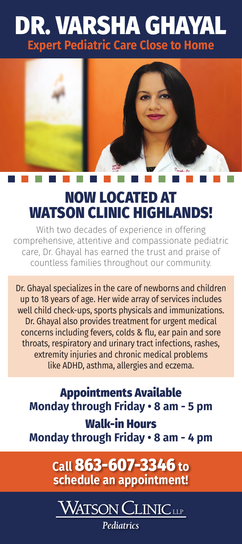## DR. VARSHA GHAYAL **Expert Pediatric Care Close to Home**



## NOW LOCATED AT WATSON CLINIC HIGHLANDS!

With two decades of experience in offering comprehensive, attentive and compassionate pediatric care, Dr. Ghayal has earned the trust and praise of countless families throughout our community.

Dr. Ghayal specializes in the care of newborns and children up to 18 years of age. Her wide array of services includes well child check-ups, sports physicals and immunizations. Dr. Ghayal also provides treatment for urgent medical concerns including fevers, colds & flu, ear pain and sore throats, respiratory and urinary tract infections, rashes, extremity injuries and chronic medical problems like ADHD, asthma, allergies and eczema.

Appointments Available **Monday through Friday • 8 am - 5 pm** Walk-in Hours **Monday through Friday • 8 am - 4 pm**

> **Call** 863-607-3346 **to schedule an appointment!**